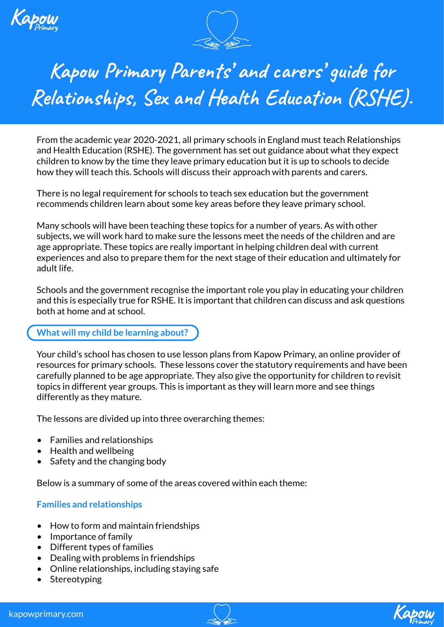



# **Kapow Primary Parents' and carers' guide for Relationships, Sex and Health Education (RSHE).**

From the academic year 2020-2021, all primary schools in England must teach Relationships and Health Education (RSHE). The government has set out guidance about what they expect children to know by the time they leave primary education but it is up to schools to decide how they will teach this. Schools will discuss their approach with parents and carers.

There is no legal requirement for schools to teach sex education but the government recommends children learn about some key areas before they leave primary school.

Many schools will have been teaching these topics for a number of years. As with other subjects, we will work hard to make sure the lessons meet the needs of the children and are age appropriate. These topics are really important in helping children deal with current experiences and also to prepare them for the next stage of their education and ultimately for adult life.

Schools and the government recognise the important role you play in educating your children and this is especially true for RSHE. It is important that children can discuss and ask questions both at home and at school.

## **What will my child be learning about?**

Your child's school has chosen to use lesson plans from Kapow Primary, an online provider of resources for primary schools. These lessons cover the statutory requirements and have been carefully planned to be age appropriate. They also give the opportunity for children to revisit topics in different year groups. This is important as they will learn more and see things differently as they mature.

The lessons are divided up into three overarching themes:

- Families and relationships
- Health and wellbeing
- Safety and the changing body

Below is a summary of some of the areas covered within each theme:

### **Families and relationships**

- How to form and maintain friendships
- Importance of family
- Different types of families
- Dealing with problems in friendships
- Online relationships, including staying safe
- Stereotyping